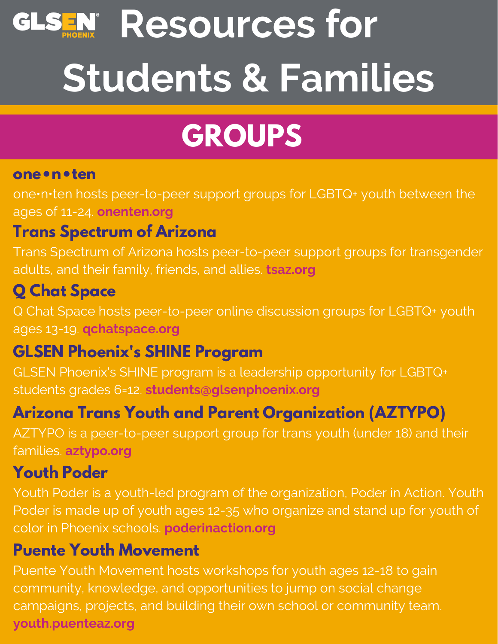# **Resources for Students & Families**

## **GROUPS**

#### **one•n•ten**

one•n•ten hosts peer-to-peer support groups for LGBTQ+ youth between the ages of 11-24. **onenten.org**

### **Trans Spectrum of Arizona**

Trans Spectrum of Arizona hosts peer-to-peer support groups for transgender adults, and their family, friends, and allies. **tsaz.org**

### **Q Chat Space**

Q Chat Space hosts peer-to-peer online discussion groups for LGBTQ+ youth ages 13-19. **qchatspace.org**

### **GLSEN Phoenix's SHINE Program**

GLSEN Phoenix's SHINE program is a leadership opportunity for LGBTQ+ students grades 6=12. **students@glsenphoenix.org**

## **Arizona Trans Youth and Parent Organization (AZTYPO)**

AZTYPO is a peer-to-peer support group for trans youth (under 18) and their families. **aztypo.org**

### **Youth Poder**

Youth Poder is a youth-led program of the organization, Poder in Action. Youth Poder is made up of youth ages 12-35 who organize and stand up for youth of color in Phoenix schools. **poderinaction.org**

#### **Puente Youth Movement**

Puente Youth Movement hosts workshops for youth ages 12-18 to gain community, knowledge, and opportunities to jump on social change campaigns, projects, and building their own school or community team. **youth.puenteaz.org**